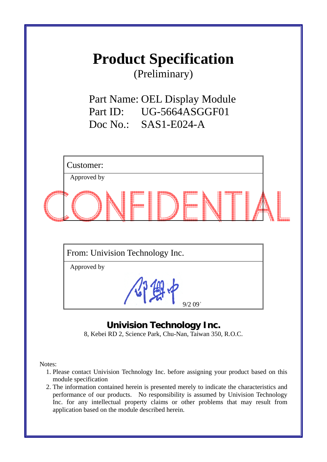## **Product Specification**

(Preliminary)

Part Name: OEL Display Module Part ID: UG-5664ASGGF01 Doc No.: SAS1-E024-A

| Customer:                       |  |
|---------------------------------|--|
| Approved by                     |  |
|                                 |  |
| From: Univision Technology Inc. |  |
| Approved by                     |  |
|                                 |  |

## **Univision Technology Inc.**

**B** Company

I

9/2 09'

8, Kebei RD 2, Science Park, Chu-Nan, Taiwan 350, R.O.C.

Notes:

- 1. Please contact Univision Technology Inc. before assigning your product based on this module specification
- 2. The information contained herein is presented merely to indicate the characteristics and performance of our products. No responsibility is assumed by Univision Technology Inc. for any intellectual property claims or other problems that may result from application based on the module described herein.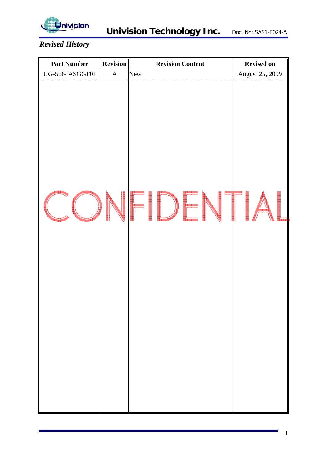

## *Revised History*

| <b>Part Number</b> | <b>Revision</b> | <b>Revision Content</b> | <b>Revised on</b> |
|--------------------|-----------------|-------------------------|-------------------|
| UG-5664ASGGF01     | $\mathbf A$     | New                     | August 25, 2009   |
|                    |                 |                         |                   |
|                    |                 |                         |                   |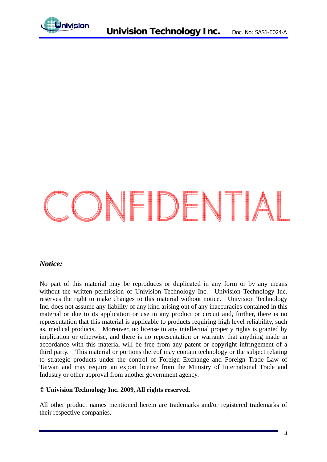

# CONFIDENTIAL

## *Notice:*

No part of this material may be reproduces or duplicated in any form or by any means without the written permission of Univision Technology Inc. Univision Technology Inc. reserves the right to make changes to this material without notice. Univision Technology Inc. does not assume any liability of any kind arising out of any inaccuracies contained in this material or due to its application or use in any product or circuit and, further, there is no representation that this material is applicable to products requiring high level reliability, such as, medical products. Moreover, no license to any intellectual property rights is granted by implication or otherwise, and there is no representation or warranty that anything made in accordance with this material will be free from any patent or copyright infringement of a third party. This material or portions thereof may contain technology or the subject relating to strategic products under the control of Foreign Exchange and Foreign Trade Law of Taiwan and may require an export license from the Ministry of International Trade and Industry or other approval from another government agency.

#### **© Univision Technology Inc. 2009, All rights reserved.**

All other product names mentioned herein are trademarks and/or registered trademarks of their respective companies.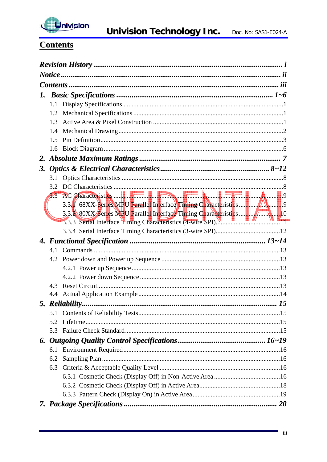

## **Contents**

| 1. |            |                                                            |  |
|----|------------|------------------------------------------------------------|--|
|    | 1.1        |                                                            |  |
|    | 1.2        |                                                            |  |
|    | 1.3        |                                                            |  |
|    | 1.4        |                                                            |  |
|    | 1.5        |                                                            |  |
|    | 1.6        |                                                            |  |
|    |            |                                                            |  |
| 3. |            |                                                            |  |
|    |            |                                                            |  |
|    |            |                                                            |  |
|    | <b>TAN</b> |                                                            |  |
|    |            |                                                            |  |
|    |            |                                                            |  |
|    |            | 3.3.3 Serial Interface Timing Characteristics (4-wire SPI) |  |
|    |            |                                                            |  |
|    |            |                                                            |  |
|    |            |                                                            |  |
|    |            |                                                            |  |
|    |            |                                                            |  |
|    |            |                                                            |  |
|    |            |                                                            |  |
|    | 4.3        |                                                            |  |
|    |            |                                                            |  |
|    |            |                                                            |  |
|    |            |                                                            |  |
|    | 5.2        |                                                            |  |
|    |            |                                                            |  |
|    |            |                                                            |  |
|    | 6.1        |                                                            |  |
|    | 6.2        |                                                            |  |
|    | 6.3        |                                                            |  |
|    |            |                                                            |  |
|    |            |                                                            |  |
|    |            |                                                            |  |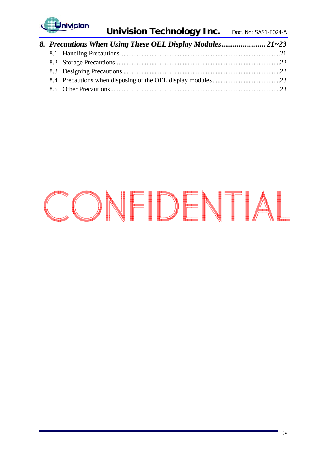

## CONFIDENTIAL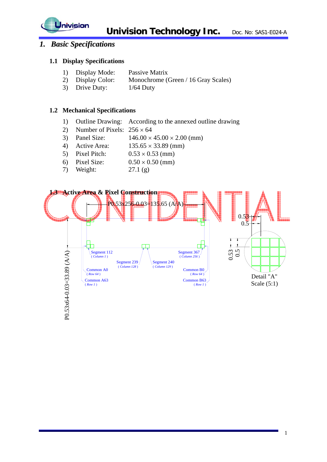

## *1. Basic Specifications*

#### **1.1 Display Specifications**

- 1) Display Mode: Passive Matrix
- 2) Display Color: Monochrome (Green / 16 Gray Scales)
- 3) Drive Duty: 1/64 Duty

#### **1.2 Mechanical Specifications**

- 1) Outline Drawing: According to the annexed outline drawing
- 2) Number of Pixels:  $256 \times 64$
- 3) Panel Size:  $146.00 \times 45.00 \times 2.00$  (mm)
- 4) Active Area: 135.65 × 33.89 (mm)
- 5) Pixel Pitch:  $0.53 \times 0.53$  (mm)
- 6) Pixel Size:  $0.50 \times 0.50$  (mm)
- 7) Weight: 27.1 (g)

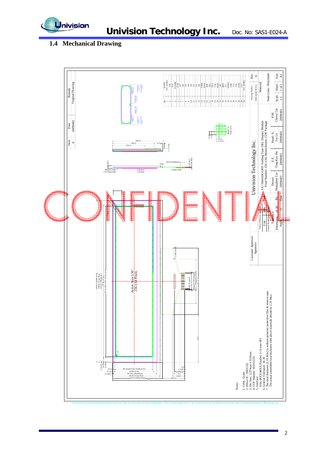

## **1.4 Mechanical Drawing**

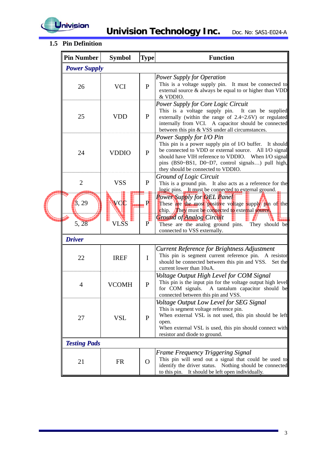

## **1.5 Pin Definition**

| <b>Pin Number</b>   | <b>Symbol</b> | <b>Type</b>    | <b>Function</b>                                                                                                                                                                                                                                                                                           |
|---------------------|---------------|----------------|-----------------------------------------------------------------------------------------------------------------------------------------------------------------------------------------------------------------------------------------------------------------------------------------------------------|
| <b>Power Supply</b> |               |                |                                                                                                                                                                                                                                                                                                           |
| 26                  | <b>VCI</b>    | $\mathbf{P}$   | <b>Power Supply for Operation</b><br>This is a voltage supply pin.<br>It must be connected to<br>external source $\&$ always be equal to or higher than VDD<br>& VDDIO.                                                                                                                                   |
| 25                  | <b>VDD</b>    | $\mathbf{P}$   | <b>Power Supply for Core Logic Circuit</b><br>This is a voltage supply pin. It can be supplied<br>externally (within the range of $2.4 \sim 2.6 V$ ) or regulated<br>internally from VCI. A capacitor should be connected<br>between this pin & VSS under all circumstances.                              |
| 24                  | <b>VDDIO</b>  | $\mathbf{P}$   | <b>Power Supply for I/O Pin</b><br>This pin is a power supply pin of I/O buffer. It should<br>be connected to VDD or external source.<br>All I/O signal<br>should have VIH reference to VDDIO. When I/O signal<br>pins (BS0~BS1, D0~D7, control signals) pull high,<br>they should be connected to VDDIO. |
| $\overline{2}$      | <b>VSS</b>    | $\mathbf{P}$   | Ground of Logic Circuit<br>This is a ground pin. It also acts as a reference for the<br>logic pins. It must be connected to external ground.                                                                                                                                                              |
| $\beta$ , 29        | VCC           | . PI           | <b>Power Supply for OEL Panel</b><br>These are the most positive voltage supply pin of the<br>chip. They must be connected to external source.<br><b>Ground of Analog Circuit</b>                                                                                                                         |
| 5, 28               | VLSS          | $\overline{P}$ | These are the analog ground pins.<br>They should be<br>connected to VSS externally.                                                                                                                                                                                                                       |
| <b>Driver</b>       |               |                |                                                                                                                                                                                                                                                                                                           |
| 22                  | <b>IREF</b>   | $\mathbf I$    | <b>Current Reference for Brightness Adjustment</b><br>This pin is segment current reference pin. A resistor<br>should be connected between this pin and VSS.<br>Set the<br>current lower than 10uA.                                                                                                       |
| 4                   | <b>VCOMH</b>  | $\mathbf{P}$   | Voltage Output High Level for COM Signal<br>This pin is the input pin for the voltage output high level<br>for COM signals.<br>A tantalum capacitor should be<br>connected between this pin and VSS.                                                                                                      |
| <b>VSL</b><br>27    |               | $\mathbf{P}$   | Voltage Output Low Level for SEG Signal<br>This is segment voltage reference pin.<br>When external VSL is not used, this pin should be left<br>open.<br>When external VSL is used, this pin should connect with<br>resistor and diode to ground.                                                          |
| <b>Testing Pads</b> |               |                |                                                                                                                                                                                                                                                                                                           |
| 21<br><b>FR</b>     |               |                | <b>Frame Frequency Triggering Signal</b><br>This pin will send out a signal that could be used to<br>identify the driver status. Nothing should be connected<br>It should be left open individually.<br>to this pin.                                                                                      |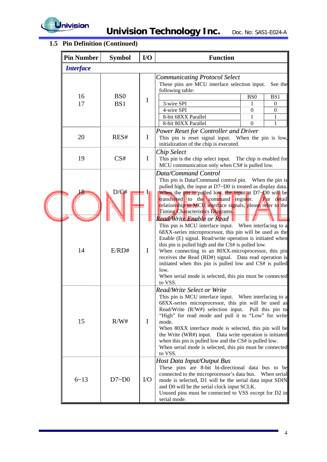

## **1.5 Pin Definition (Continued)**

| <b>Pin Number</b> | <b>Symbol</b>   | $IO$          | <b>Function</b>                                                                                                                                                                                                                                                                                                                                                                                                                                                                                                                                                                                                                                                                                                                                                                                                                                                                   |                   |                              |
|-------------------|-----------------|---------------|-----------------------------------------------------------------------------------------------------------------------------------------------------------------------------------------------------------------------------------------------------------------------------------------------------------------------------------------------------------------------------------------------------------------------------------------------------------------------------------------------------------------------------------------------------------------------------------------------------------------------------------------------------------------------------------------------------------------------------------------------------------------------------------------------------------------------------------------------------------------------------------|-------------------|------------------------------|
| <b>Interface</b>  |                 |               |                                                                                                                                                                                                                                                                                                                                                                                                                                                                                                                                                                                                                                                                                                                                                                                                                                                                                   |                   |                              |
|                   |                 |               | <b>Communicating Protocol Select</b><br>These pins are MCU interface selection input.<br>following table:                                                                                                                                                                                                                                                                                                                                                                                                                                                                                                                                                                                                                                                                                                                                                                         |                   | See the                      |
| 16                | B <sub>S0</sub> | $\mathbf I$   |                                                                                                                                                                                                                                                                                                                                                                                                                                                                                                                                                                                                                                                                                                                                                                                                                                                                                   | B <sub>S0</sub>   | BS1                          |
| 17                | BS1             |               | 3-wire SPI<br>4-wire SPI                                                                                                                                                                                                                                                                                                                                                                                                                                                                                                                                                                                                                                                                                                                                                                                                                                                          | 1<br>$\mathbf{0}$ | $\theta$<br>$\boldsymbol{0}$ |
|                   |                 |               | 8-bit 68XX Parallel                                                                                                                                                                                                                                                                                                                                                                                                                                                                                                                                                                                                                                                                                                                                                                                                                                                               | 1                 | $\mathbf{1}$                 |
|                   |                 |               | 8-bit 80XX Parallel                                                                                                                                                                                                                                                                                                                                                                                                                                                                                                                                                                                                                                                                                                                                                                                                                                                               | $\Omega$          | 1                            |
| 20                | RES#            | $\bf{I}$      | <b>Power Reset for Controller and Driver</b><br>This pin is reset signal input. When the pin is low,<br>initialization of the chip is executed.                                                                                                                                                                                                                                                                                                                                                                                                                                                                                                                                                                                                                                                                                                                                   |                   |                              |
| 19                | CS#             | $\mathbf I$   | <b>Chip Select</b><br>This pin is the chip select input. The chip is enabled for<br>MCU communication only when CS# is pulled low.                                                                                                                                                                                                                                                                                                                                                                                                                                                                                                                                                                                                                                                                                                                                                |                   |                              |
| <b>P</b><br>14    | D/G#<br>E/RD#   | <b>I</b><br>I | Data/Command Control<br>This pin is Data/Command control pin. When the pin is<br>pulled high, the input at D7~D0 is treated as display data.<br>When the pin is pulled low, the input at D7-D0 will be<br>transferred to the command register.<br>relationship to MCU interface signals, please refer to the<br>Timing Characteristics Diagrams.<br>Read/Write Enable or Read<br>This pin is MCU interface input. When interfacing to a<br>68XX-series microprocessor, this pin will be used as the<br>Enable (E) signal. Read/write operation is initiated when<br>this pin is pulled high and the CS# is pulled low.<br>When connecting to an 80XX-microprocessor, this pin<br>receives the Read (RD#) signal. Data read operation is<br>initiated when this pin is pulled low and CS# is pulled<br>low.<br>When serial mode is selected, this pin must be connected<br>to VSS. |                   | For detail                   |
| 15                | R/W#            | $\bf{I}$      | <b>Read/Write Select or Write</b><br>This pin is MCU interface input. When interfacing to a<br>68XX-series microprocessor, this pin will be used as<br>Read/Write (R/W#) selection input.<br>"High" for read mode and pull it to "Low" for write<br>mode.<br>When 80XX interface mode is selected, this pin will be<br>the Write (WR#) input. Data write operation is initiated<br>when this pin is pulled low and the CS# is pulled low.<br>When serial mode is selected, this pin must be connected<br>to VSS.                                                                                                                                                                                                                                                                                                                                                                  |                   | Pull this pin to             |
| $6 - 13$          | D7~D0           | I/O           | Host Data Input/Output Bus<br>These pins are 8-bit bi-directional data bus to be<br>connected to the microprocessor's data bus. When serial<br>mode is selected, D1 will be the serial data input SDIN<br>and D0 will be the serial clock input SCLK.<br>Unused pins must be connected to VSS except for D2 in<br>serial mode.                                                                                                                                                                                                                                                                                                                                                                                                                                                                                                                                                    |                   |                              |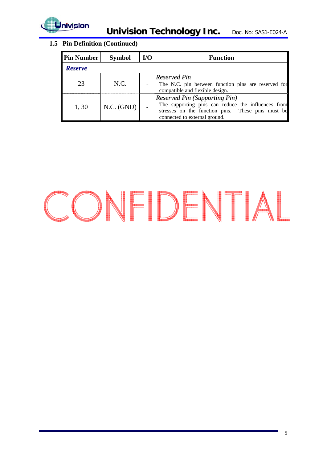

## **1.5 Pin Definition (Continued)**

| <b>Pin Number</b> | <b>Symbol</b> | $U$ | <b>Function</b>                                                                                                                                                                  |
|-------------------|---------------|-----|----------------------------------------------------------------------------------------------------------------------------------------------------------------------------------|
| <b>Reserve</b>    |               |     |                                                                                                                                                                                  |
| 23                | N.C.          |     | <b>Reserved Pin</b><br>The N.C. pin between function pins are reserved for<br>compatible and flexible design.                                                                    |
| 1,30              | N.C. (GND)    |     | <b>Reserved Pin (Supporting Pin)</b><br>The supporting pins can reduce the influences from<br>stresses on the function pins. These pins must be<br>connected to external ground. |

## CONFIDENTIAL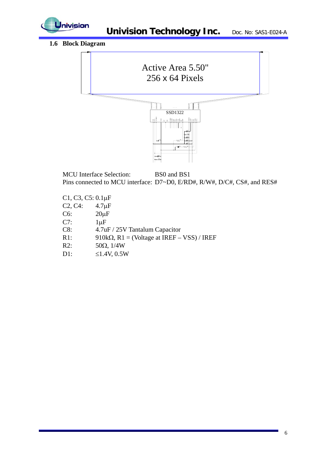

## **1.6 Block Diagram**



MCU Interface Selection: BS0 and BS1 Pins connected to MCU interface: D7~D0, E/RD#, R/W#, D/C#, CS#, and RES#

- C1, C3, C5: 0.1μF
- C2, C4: 4.7μF
- C6: 20μF
- C7:  $1 \mu F$
- C8: 4.7uF / 25V Tantalum Capacitor
- R1: 910k $\Omega$ , R1 = (Voltage at IREF VSS) / IREF
- R2:  $50Ω, 1/4W$
- D1:  $\leq 1.4V, 0.5W$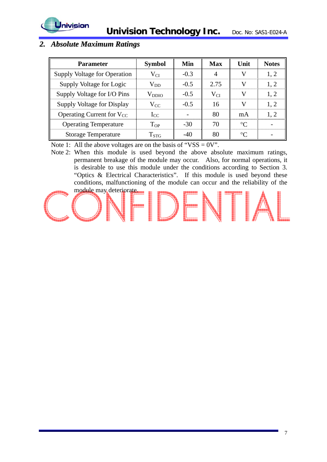



## *2. Absolute Maximum Ratings*

| <b>Parameter</b>                    | <b>Symbol</b>      | Min    | <b>Max</b> | Unit        | <b>Notes</b> |
|-------------------------------------|--------------------|--------|------------|-------------|--------------|
| <b>Supply Voltage for Operation</b> | $\rm V_{CI}$       | $-0.3$ | 4          | V           | 1, 2         |
| Supply Voltage for Logic            | $\rm V_{DD}$       | $-0.5$ | 2.75       |             | 1, 2         |
| Supply Voltage for I/O Pins         | $\rm V_{DDIO}$     | $-0.5$ | $V_{CI}$   | V           | 1, 2         |
| Supply Voltage for Display          | $V_{CC}$           | $-0.5$ | 16         | V           | 1, 2         |
| Operating Current for $V_{CC}$      | $I_{CC}$           |        | 80         | mA          | 1, 2         |
| <b>Operating Temperature</b>        | $T_{OP}$           | $-30$  | 70         | $^{\circ}C$ |              |
| <b>Storage Temperature</b>          | $\mathrm{T_{STG}}$ | $-40$  | 80         | $^{\circ}C$ |              |

Note 1: All the above voltages are on the basis of "VSS =  $0V$ ".

Note 2: When this module is used beyond the above absolute maximum ratings, permanent breakage of the module may occur. Also, for normal operations, it is desirable to use this module under the conditions according to Section 3. "Optics & Electrical Characteristics". If this module is used beyond these conditions, malfunctioning of the module can occur and the reliability of the module may deteriorate.

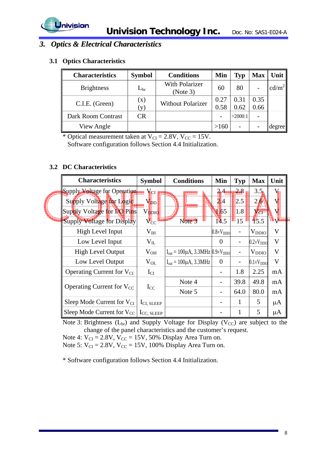

## *3. Optics & Electrical Characteristics*

### **3.1 Optics Characteristics**

| <b>Characteristics</b> | <b>Symbol</b>  | <b>Conditions</b>                 | Min        | Typ     | <b>Max</b> | Unit   |
|------------------------|----------------|-----------------------------------|------------|---------|------------|--------|
| <b>Brightness</b>      | $\rm L_{br}$   | <b>With Polarizer</b><br>(Note 3) | 60         | 80      |            | cd/m   |
| C.I.E. (Green)         | $(\mathbf{x})$ | <b>Without Polarizer</b>          | 0.27       | 0.31    | 0.35       |        |
|                        | (y)            |                                   | 0.58       | 0.62    | 0.66       |        |
| Dark Room Contrast     | CR             |                                   |            | >2000:1 |            |        |
| View Angle             |                |                                   | $>\!\!160$ |         |            | degree |

\* Optical measurement taken at  $V_{CI} = 2.8V$ ,  $V_{CC} = 15V$ .

Software configuration follows Section 4.4 Initialization.

## **3.2 DC Characteristics**

| <b>Characteristics</b>                          | <b>Symbol</b>            | <b>Conditions</b>                                    | Min                   | <b>Typ</b>     | <b>Max</b>            | Unit         |
|-------------------------------------------------|--------------------------|------------------------------------------------------|-----------------------|----------------|-----------------------|--------------|
| Supply Voltage for Operation                    | $\mathbf{V}_{\text{CI}}$ |                                                      | 2.4                   | 2.8            | 3.5 <sub>h</sub>      |              |
| Supply Voltage for Logic                        | $V_{\rm DD}$             |                                                      | 2,4                   | 2.5            | $25^{\circ}$          |              |
| Supply Voltage for NO Pins                      | V <sub>DpIQ</sub>        |                                                      | 155                   | 1.8            | $V_{\rm C1}$          |              |
| Supply Voltage for Display                      | $V_{\rm CC}$             | Note 3                                               | 14.5                  | 15             | $\frac{1}{5.5}$       |              |
| High Level Input                                | V <sub>IH</sub>          |                                                      | $0.8 \times V_{DDIO}$ |                | $V_{DDIO}$            | V            |
| Low Level Input                                 | $V_{IL}$                 |                                                      | $\theta$              | $\overline{a}$ | $0.2 \times V_{DDIO}$ | V            |
| <b>High Level Output</b>                        | $V_{OH}$                 | $I_{out} = 100 \mu A$ , 3.3MHz $0.9 \times V_{DDIO}$ |                       |                | $V_{DDIO}$            | V            |
| Low Level Output                                | $V_{OL}$                 | $I_{out} = 100\mu A$ , 3.3MHz                        | $\overline{0}$        |                | $0.1 \times V_{DDIO}$ | $\mathbf{V}$ |
| Operating Current for V <sub>CI</sub>           | $I_{CI}$                 |                                                      |                       | 1.8            | 2.25                  | mA           |
| Operating Current for $V_{CC}$                  | $I_{CC}$                 | Note 4                                               |                       | 39.8           | 49.8                  | mA           |
|                                                 |                          | Note 5                                               |                       | 64.0           | 80.0                  | mA           |
| Sleep Mode Current for $V_{CI}$                 | $ICI$ sleep              |                                                      |                       | 1              | 5                     | $\mu A$      |
| Sleep Mode Current for $V_{CC}$ $I_{CC, SLEEP}$ |                          |                                                      |                       | 1              | 5                     | $\mu A$      |

Note 3: Brightness  $(L_{br})$  and Supply Voltage for Display (V<sub>CC</sub>) are subject to the change of the panel characteristics and the customer's request.

Note 4:  $V_{CI} = 2.8V$ ,  $V_{CC} = 15V$ , 50% Display Area Turn on.

Note 5:  $V_{CI} = 2.8V$ ,  $V_{CC} = 15V$ , 100% Display Area Turn on.

\* Software configuration follows Section 4.4 Initialization.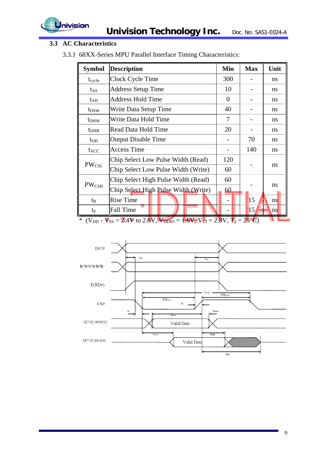

## **3.3 AC Characteristics**

3.3.1 68XX-Series MPU Parallel Interface Timing Characteristics:

| <b>Symbol</b>                | <b>Description</b>                                                                      | Min      | <b>Max</b>     | Unit          |
|------------------------------|-----------------------------------------------------------------------------------------|----------|----------------|---------------|
| $t_{cycle}$                  | Clock Cycle Time                                                                        | 300      |                | <sub>ns</sub> |
| $t_{AS}$                     | <b>Address Setup Time</b>                                                               | 10       |                | <sub>ns</sub> |
| $t_{\rm AH}$                 | Address Hold Time                                                                       | $\theta$ |                | <sub>ns</sub> |
| $t_{DSW}$                    | Write Data Setup Time                                                                   | 40       |                | <sub>ns</sub> |
| t <sub>DHW</sub>             | Write Data Hold Time                                                                    | 7        |                | ns            |
| $t_{\rm DHR}$                | Read Data Hold Time                                                                     | 20       |                | <sub>ns</sub> |
| $t_{OH}$                     | <b>Output Disable Time</b>                                                              |          | 70             | ns            |
| $t_{ACC}$                    | <b>Access Time</b>                                                                      |          | 140            | <sub>ns</sub> |
|                              | Chip Select Low Pulse Width (Read)                                                      | 120      |                |               |
| $\mathrm{PW}_{\mathrm{CSL}}$ | Chip Select Low Pulse Width (Write)                                                     | 60       |                | ns            |
|                              | Chip Select High Pulse Width (Read)                                                     | 60       |                |               |
| $PW_{\rm CSH}$               | Chip Select High Pulse Width (Write)                                                    | 60       |                | ns            |
| $t_{R}$                      | <b>Rise Time</b>                                                                        |          | $\parallel$ 15 | ns            |
| $t_F$                        | <b>Fall Time</b>                                                                        |          | 15,            | ns            |
|                              | * $(V_{DD} - V_{SS} = 2.4V$ to 2.6V, $V_{DDIO} = 1.6V$ , $V_{CI} = 2.8V$ , $T_a = 25°C$ |          |                |               |

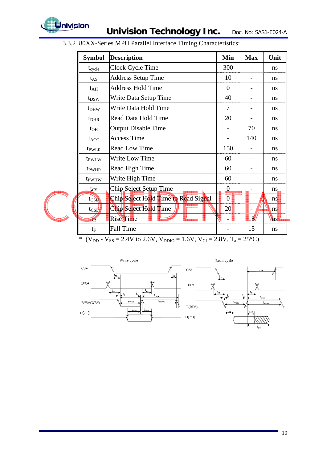

**Univision Technology Inc.** Doc. No: SAS1-E024-A

| <b>Symbol</b>                 | <b>Description</b>                   | Min              | <b>Max</b> | Unit |
|-------------------------------|--------------------------------------|------------------|------------|------|
| $t_{cycle}$                   | Clock Cycle Time                     | 300              |            | ns   |
| $t_{AS}$                      | <b>Address Setup Time</b>            | 10               |            | ns   |
| $t_{\rm AH}$                  | <b>Address Hold Time</b>             | $\theta$         |            | ns   |
| t <sub>DSW</sub>              | Write Data Setup Time                | 40               |            | ns   |
| $t_{DHW}$                     | Write Data Hold Time                 | 7                |            | ns   |
| $t_{\rm DHR}$                 | Read Data Hold Time                  | 20               |            | ns   |
| $t_{OH}$                      | <b>Output Disable Time</b>           |                  | 70         | ns   |
| $t_{ACC}$                     | <b>Access Time</b>                   |                  | 140        | ns   |
| t <sub>pwLR</sub>             | <b>Read Low Time</b>                 | 150              |            | ns   |
| t <sub>PWLW</sub>             | <b>Write Low Time</b>                | 60               |            | ns   |
| t <sub>pwHR</sub>             | Read High Time                       | 60               |            | ns   |
| t <sub>pw</sub> <sub>Hw</sub> | Write High Time                      | 60               |            | ns   |
| $t_{\rm CS}$                  | Chip Select Setup Time               | $\boldsymbol{0}$ |            | ns   |
| tcsN                          | Chip Select Hold Time to Read Signal | $\overline{0}$   |            | ns   |
| $t_{CS}$                      | Chip Select Hold Time                | 20               |            | ns   |
| $1\overline{\text{R}}$        | <b>Rise Time</b>                     |                  | 14         | 'ns  |
| $t_F$                         | Fall Time                            |                  | 15         | ns   |

3.3.2 80XX-Series MPU Parallel Interface Timing Characteristics:

\* (V<sub>DD</sub> - V<sub>SS</sub> = 2.4V to 2.6V, V<sub>DDIO</sub> = 1.6V, V<sub>CI</sub> = 2.8V, T<sub>a</sub> = 25<sup>o</sup>C)

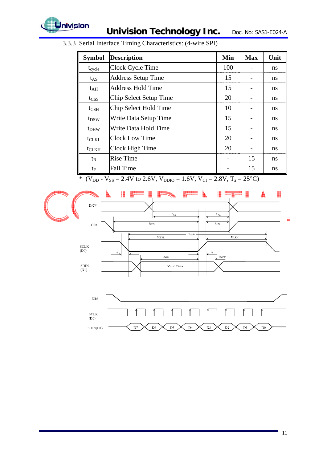

| <b>Symbol</b>    | <b>Description</b>        | Min | <b>Max</b> | Unit |
|------------------|---------------------------|-----|------------|------|
| $t_{cycle}$      | Clock Cycle Time          | 100 |            | ns   |
| $t_{AS}$         | <b>Address Setup Time</b> | 15  |            | ns   |
| $t_{\rm AH}$     | <b>Address Hold Time</b>  | 15  |            | ns   |
| $t_{CSS}$        | Chip Select Setup Time    | 20  |            | ns   |
| $t_{\rm CSH}$    | Chip Select Hold Time     | 10  |            | ns   |
| t <sub>DSW</sub> | Write Data Setup Time     | 15  |            | ns   |
| t <sub>DHW</sub> | Write Data Hold Time      | 15  |            | ns   |
| $t_{CLKL}$       | <b>Clock Low Time</b>     | 20  |            | ns   |
| $t_{CLKH}$       | Clock High Time           | 20  |            | ns   |
| $t_{R}$          | <b>Rise Time</b>          |     | 15         | ns   |
| $t_{\rm F}$      | <b>Fall Time</b>          |     | 15         | ns   |

3.3.3 Serial Interface Timing Characteristics: (4-wire SPI)

\* (V<sub>DD</sub> - V<sub>SS</sub> = 2.4V to 2.6V, V<sub>DDIO</sub> = 1.6V, V<sub>CI</sub> = 2.8V, T<sub>a</sub> = 25<sup>o</sup>C)



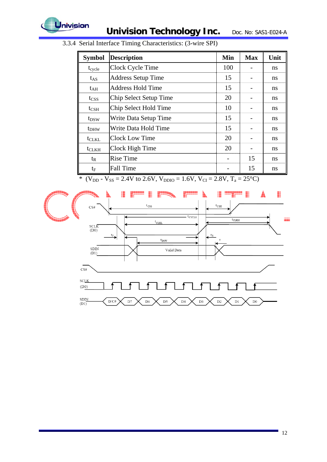

| <b>Symbol</b>    | <b>Description</b>        | Min | <b>Max</b> | Unit |
|------------------|---------------------------|-----|------------|------|
| $t_{\rm cycle}$  | Clock Cycle Time          | 100 |            | ns   |
| $t_{AS}$         | <b>Address Setup Time</b> | 15  |            | ns   |
| $t_{\rm AH}$     | <b>Address Hold Time</b>  | 15  |            | ns   |
| tcss             | Chip Select Setup Time    | 20  |            | ns   |
| $t_{\rm CSH}$    | Chip Select Hold Time     | 10  |            | ns   |
| $t_{DSW}$        | Write Data Setup Time     | 15  |            | ns   |
| t <sub>DHW</sub> | Write Data Hold Time      | 15  |            | ns   |
| $t_{CLKL}$       | Clock Low Time            | 20  |            | ns   |
| $t_{CLKH}$       | Clock High Time           | 20  |            | ns   |
| $t_{R}$          | <b>Rise Time</b>          |     | 15         | ns   |
| $t_{\rm F}$      | <b>Fall Time</b>          |     | 15         | ns   |

3.3.4 Serial Interface Timing Characteristics: (3-wire SPI)

\* (V<sub>DD</sub> - V<sub>SS</sub> = 2.4V to 2.6V, V<sub>DDIO</sub> = 1.6V, V<sub>CI</sub> = 2.8V, T<sub>a</sub> = 25<sup>o</sup>C)

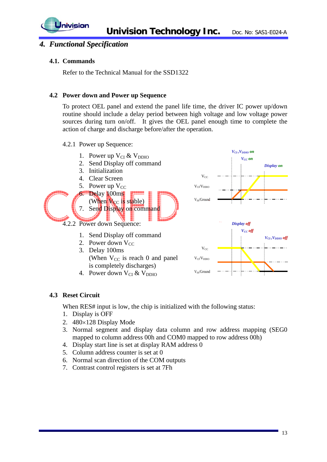

## *4. Functional Specification*

#### **4.1. Commands**

Refer to the Technical Manual for the SSD1322

#### **4.2 Power down and Power up Sequence**

To protect OEL panel and extend the panel life time, the driver IC power up/down routine should include a delay period between high voltage and low voltage power sources during turn on/off. It gives the OEL panel enough time to complete the action of charge and discharge before/after the operation.

4.2.1 Power up Sequence:



#### **4.3 Reset Circuit**

When RES# input is low, the chip is initialized with the following status:

- 1. Display is OFF
- 2. 480×128 Display Mode
- 3. Normal segment and display data column and row address mapping (SEG0 mapped to column address 00h and COM0 mapped to row address 00h)
- 4. Display start line is set at display RAM address 0
- 5. Column address counter is set at 0
- 6. Normal scan direction of the COM outputs
- 7. Contrast control registers is set at 7Fh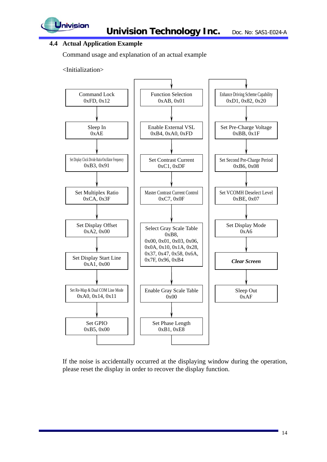

## **4.4 Actual Application Example**

Command usage and explanation of an actual example

<Initialization>



If the noise is accidentally occurred at the displaying window during the operation, please reset the display in order to recover the display function.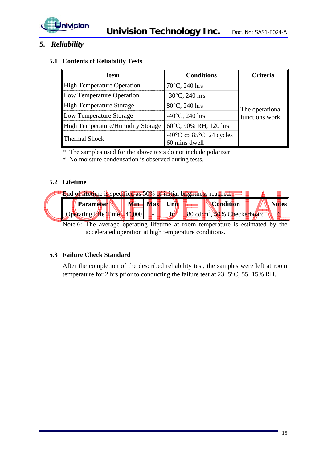

## *5. Reliability*

#### **5.1 Contents of Reliability Tests**

| <b>Item</b>                              | <b>Conditions</b>                                                             | Criteria        |  |
|------------------------------------------|-------------------------------------------------------------------------------|-----------------|--|
| <b>High Temperature Operation</b>        | $70^{\circ}$ C, 240 hrs                                                       |                 |  |
| Low Temperature Operation                | $-30^{\circ}$ C, 240 hrs                                                      |                 |  |
| <b>High Temperature Storage</b>          | 80°C, 240 hrs                                                                 | The operational |  |
| Low Temperature Storage                  | $-40^{\circ}$ C, 240 hrs                                                      | functions work. |  |
| <b>High Temperature/Humidity Storage</b> | 60°C, 90% RH, 120 hrs                                                         |                 |  |
| Thermal Shock                            | $-40^{\circ}$ C $\Leftrightarrow$ 85 $^{\circ}$ C, 24 cycles<br>60 mins dwell |                 |  |

\* The samples used for the above tests do not include polarizer.

\* No moisture condensation is observed during tests.

### **5.2 Lifetime**



Note 6: The average operating lifetime at room temperature is estimated by the accelerated operation at high temperature conditions.

#### **5.3 Failure Check Standard**

After the completion of the described reliability test, the samples were left at room temperature for 2 hrs prior to conducting the failure test at 23±5°C; 55±15% RH.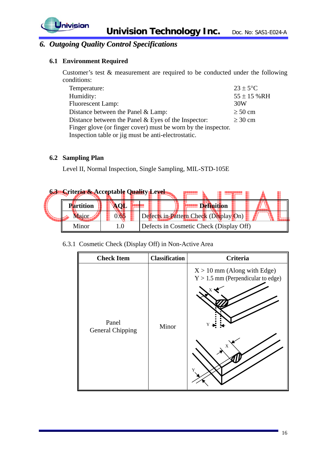

## *6. Outgoing Quality Control Specifications*

## **6.1 Environment Required**

Customer's test & measurement are required to be conducted under the following conditions:

| Temperature:                                                  | $23 \pm 5$ °C   |
|---------------------------------------------------------------|-----------------|
| Humidity:                                                     | $55 \pm 15$ %RH |
| <b>Fluorescent Lamp:</b>                                      | 30W             |
| Distance between the Panel $&$ Lamp:                          | $\geq 50$ cm    |
| Distance between the Panel $&$ Eyes of the Inspector:         | $\geq 30$ cm    |
| Finger glove (or finger cover) must be worn by the inspector. |                 |
| Inspection table or jig must be anti-electrostatic.           |                 |

### **6.2 Sampling Plan**

Level II, Normal Inspection, Single Sampling, MIL-STD-105E

| <b>63 Criteria &amp; Acceptable Quality Level</b> |  |                                         |  |
|---------------------------------------------------|--|-----------------------------------------|--|
| Partition                                         |  |                                         |  |
|                                                   |  | Defects in Pattern Check (Display On)   |  |
| Minor                                             |  | Defects in Cosmetic Check (Display Off) |  |

#### 6.3.1 Cosmetic Check (Display Off) in Non-Active Area

| <b>Check Item</b>                | <b>Classification</b> | <b>Criteria</b>                                                                      |
|----------------------------------|-----------------------|--------------------------------------------------------------------------------------|
| Panel<br><b>General Chipping</b> | Minor                 | $X > 10$ mm (Along with Edge)<br>$Y > 1.5$ mm (Perpendicular to edge)<br>Y<br>X<br>Y |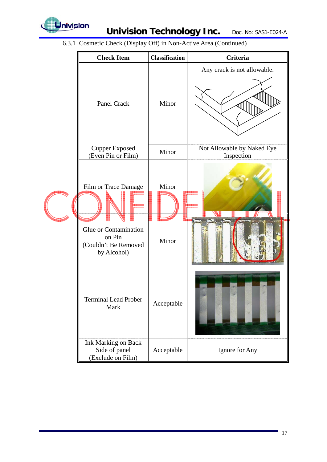

|  | <b>Check Item</b>                                                                              | <b>Classification</b> | <b>Criteria</b>                          |
|--|------------------------------------------------------------------------------------------------|-----------------------|------------------------------------------|
|  | Panel Crack                                                                                    | Minor                 | Any crack is not allowable.              |
|  | <b>Cupper Exposed</b><br>(Even Pin or Film)                                                    | Minor                 | Not Allowable by Naked Eye<br>Inspection |
|  | Film or Trace Damage<br>Glue or Contamination<br>on Pin<br>(Couldn't Be Removed<br>by Alcohol) | Minor<br>Minor        |                                          |
|  | <b>Terminal Lead Prober</b><br>Mark                                                            | Acceptable            |                                          |
|  | Ink Marking on Back<br>Side of panel<br>(Exclude on Film)                                      | Acceptable            | Ignore for Any                           |

6.3.1 Cosmetic Check (Display Off) in Non-Active Area (Continued)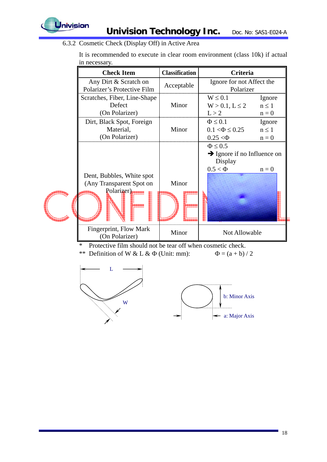

6.3.2 Cosmetic Check (Display Off) in Active Area

It is recommended to execute in clear room environment (class 10k) if actual in necessary.

| <b>Check Item</b>                                                   | <b>Classification</b> | Criteria                                                                              |            |
|---------------------------------------------------------------------|-----------------------|---------------------------------------------------------------------------------------|------------|
| Any Dirt & Scratch on<br>Polarizer's Protective Film                | Acceptable            | Ignore for not Affect the<br>Polarizer                                                |            |
| Scratches, Fiber, Line-Shape                                        |                       | $W \leq 0.1$                                                                          | Ignore     |
| Defect                                                              | Minor                 | $W > 0.1, L \le 2$                                                                    | $n \leq 1$ |
| (On Polarizer)                                                      |                       | L > 2                                                                                 | $n = 0$    |
| Dirt, Black Spot, Foreign                                           |                       | $\Phi \leq 0.1$                                                                       | Ignore     |
| Material,                                                           | Minor                 | $0.1 < \Phi \leq 0.25$                                                                | $n \leq 1$ |
| (On Polarizer)                                                      |                       | $0.25 < \Phi$                                                                         | $n = 0$    |
| Dent, Bubbles, White spot<br>(Any Transparent Spot on<br>Polarizer) | Minor                 | $\Phi \leq 0.5$<br>$\rightarrow$ Ignore if no Influence on<br>Display<br>$0.5 < \Phi$ | $n = 0$    |
| Fingerprint, Flow Mark<br>(On Polarizer)                            | Minor                 | Not Allowable                                                                         |            |
| *<br>Protective film should not be tear off when cosmetic check.    |                       |                                                                                       |            |

- \*\* Definition of W & L &  $\Phi$  (Unit: mm):  $\Phi = (a + b)/2$ 
	-

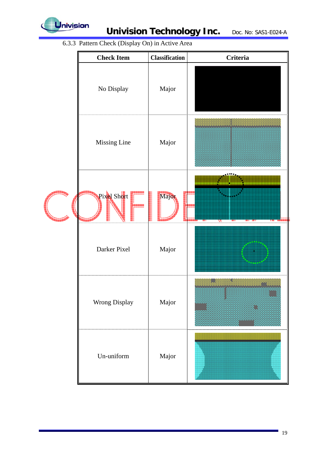

6.3.3 Pattern Check (Display On) in Active Area

| <b>Check Item</b> | <b>Classification</b> | <b>Criteria</b> |
|-------------------|-----------------------|-----------------|
| No Display        | Major                 |                 |
| Missing Line      | Major                 |                 |
| Pixel Short       | Major                 | N               |
| Darker Pixel      | Major                 |                 |
| Wrong Display     | Major                 |                 |
| Un-uniform        | Major                 |                 |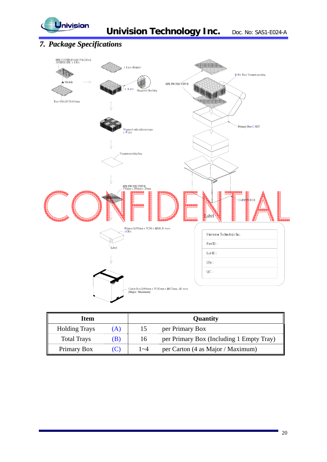

## *7. Package Specifications*



| Item                 |     |         | Quantity                                 |
|----------------------|-----|---------|------------------------------------------|
| <b>Holding Trays</b> | (A) | 15      | per Primary Box                          |
| <b>Total Trays</b>   | (B) | 16      | per Primary Box (Including 1 Empty Tray) |
| Primary Box          |     | $1 - 4$ | per Carton (4 as Major / Maximum)        |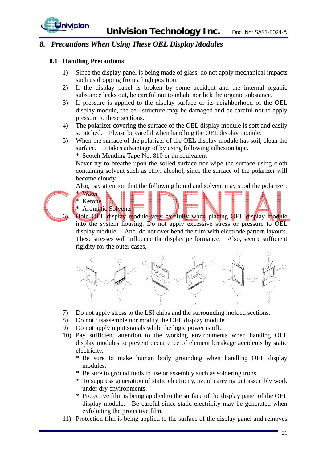

## *8. Precautions When Using These OEL Display Modules*

#### **8.1 Handling Precautions**

\* Water Ketone

- 1) Since the display panel is being made of glass, do not apply mechanical impacts such us dropping from a high position.
- 2) If the display panel is broken by some accident and the internal organic substance leaks out, be careful not to inhale nor lick the organic substance.
- 3) If pressure is applied to the display surface or its neighborhood of the OEL display module, the cell structure may be damaged and be careful not to apply pressure to these sections.
- 4) The polarizer covering the surface of the OEL display module is soft and easily scratched. Please be careful when handling the OEL display module.
- 5) When the surface of the polarizer of the OEL display module has soil, clean the surface. It takes advantage of by using following adhesion tape.

\* Scotch Mending Tape No. 810 or an equivalent

Never try to breathe upon the soiled surface nor wipe the surface using cloth containing solvent such as ethyl alcohol, since the surface of the polarizer will become cloudy.

Also, pay attention that the following liquid and solvent may spoil the polarizer:



Aromatic Solvents Hold OEL display module very carefully when placing OEL display module into the system housing. Do not apply excessive stress or pressure to OEL display module. And, do not over bend the film with electrode pattern layouts. These stresses will influence the display performance. Also, secure sufficient rigidity for the outer cases.



- 7) Do not apply stress to the LSI chips and the surrounding molded sections.
- 8) Do not disassemble nor modify the OEL display module.
- 9) Do not apply input signals while the logic power is off.
- 10) Pay sufficient attention to the working environments when handing OEL display modules to prevent occurrence of element breakage accidents by static electricity.
	- \* Be sure to make human body grounding when handling OEL display modules.
	- \* Be sure to ground tools to use or assembly such as soldering irons.
	- \* To suppress generation of static electricity, avoid carrying out assembly work under dry environments.
	- \* Protective film is being applied to the surface of the display panel of the OEL display module. Be careful since static electricity may be generated when exfoliating the protective film.
- 11) Protection film is being applied to the surface of the display panel and removes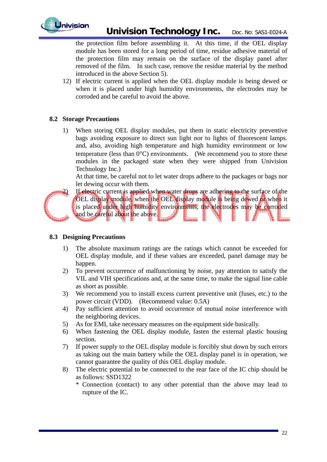

the protection film before assembling it. At this time, if the OEL display module has been stored for a long period of time, residue adhesive material of the protection film may remain on the surface of the display panel after removed of the film. In such case, remove the residue material by the method introduced in the above Section 5).

12) If electric current is applied when the OEL display module is being dewed or when it is placed under high humidity environments, the electrodes may be corroded and be careful to avoid the above.

### **8.2 Storage Precautions**

1) When storing OEL display modules, put them in static electricity preventive bags avoiding exposure to direct sun light nor to lights of fluorescent lamps. and, also, avoiding high temperature and high humidity environment or low temperature (less than  $0^{\circ}$ C) environments. (We recommend you to store these modules in the packaged state when they were shipped from Univision Technology Inc.)

At that time, be careful not to let water drops adhere to the packages or bags nor let dewing occur with them.



If electric current is applied when water drops are adhering to the surface of the OEL display module, when the OEL display module is being dewed or when it is placed under high humidity environments, the electrodes may be corroded and be careful about the above.

#### **8.3 Designing Precautions**

- 1) The absolute maximum ratings are the ratings which cannot be exceeded for OEL display module, and if these values are exceeded, panel damage may be happen.
- 2) To prevent occurrence of malfunctioning by noise, pay attention to satisfy the VIL and VIH specifications and, at the same time, to make the signal line cable as short as possible.
- 3) We recommend you to install excess current preventive unit (fuses, etc.) to the power circuit (VDD). (Recommend value: 0.5A)
- 4) Pay sufficient attention to avoid occurrence of mutual noise interference with the neighboring devices.
- 5) As for EMI, take necessary measures on the equipment side basically.
- 6) When fastening the OEL display module, fasten the external plastic housing section.
- 7) If power supply to the OEL display module is forcibly shut down by such errors as taking out the main battery while the OEL display panel is in operation, we cannot guarantee the quality of this OEL display module.
- 8) The electric potential to be connected to the rear face of the IC chip should be as follows: SSD1322
	- \* Connection (contact) to any other potential than the above may lead to rupture of the IC.